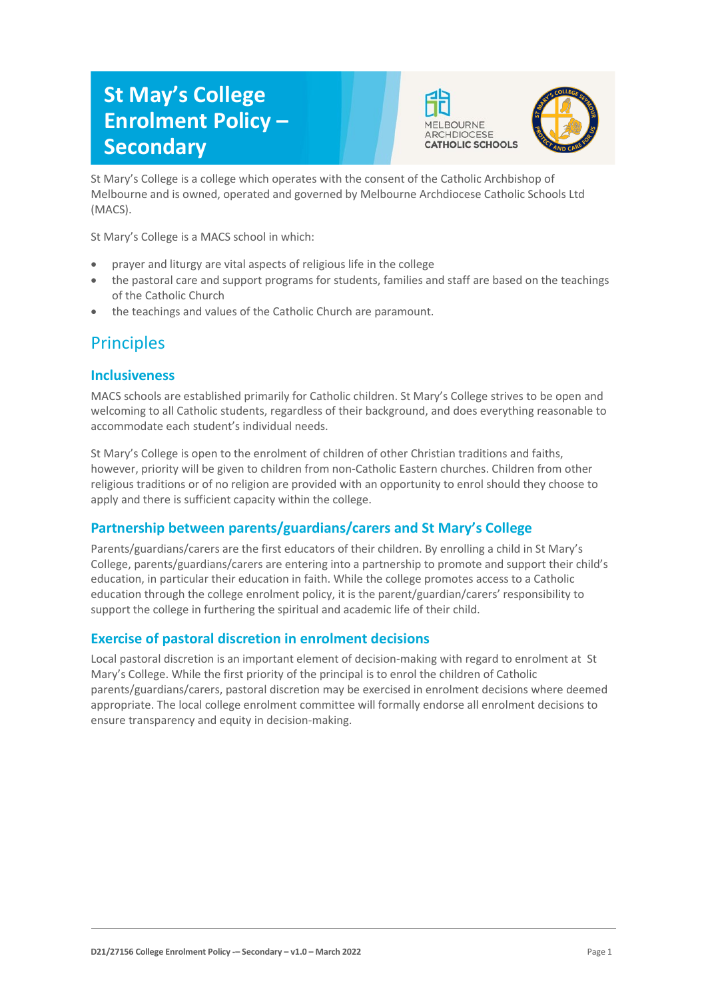# **St May's College Enrolment Policy – Secondary**





St Mary's College is a college which operates with the consent of the Catholic Archbishop of Melbourne and is owned, operated and governed by Melbourne Archdiocese Catholic Schools Ltd (MACS).

St Mary's College is a MACS school in which:

- prayer and liturgy are vital aspects of religious life in the college
- the pastoral care and support programs for students, families and staff are based on the teachings of the Catholic Church
- the teachings and values of the Catholic Church are paramount.

## **Principles**

### **Inclusiveness**

MACS schools are established primarily for Catholic children. St Mary's College strives to be open and welcoming to all Catholic students, regardless of their background, and does everything reasonable to accommodate each student's individual needs.

St Mary's College is open to the enrolment of children of other Christian traditions and faiths, however, priority will be given to children from non-Catholic Eastern churches. Children from other religious traditions or of no religion are provided with an opportunity to enrol should they choose to apply and there is sufficient capacity within the college.

### **Partnership between parents/guardians/carers and St Mary's College**

Parents/guardians/carers are the first educators of their children. By enrolling a child in St Mary's College, parents/guardians/carers are entering into a partnership to promote and support their child's education, in particular their education in faith. While the college promotes access to a Catholic education through the college enrolment policy, it is the parent/guardian/carers' responsibility to support the college in furthering the spiritual and academic life of their child.

### **Exercise of pastoral discretion in enrolment decisions**

Local pastoral discretion is an important element of decision-making with regard to enrolment at St Mary's College. While the first priority of the principal is to enrol the children of Catholic parents/guardians/carers, pastoral discretion may be exercised in enrolment decisions where deemed appropriate. The local college enrolment committee will formally endorse all enrolment decisions to ensure transparency and equity in decision-making.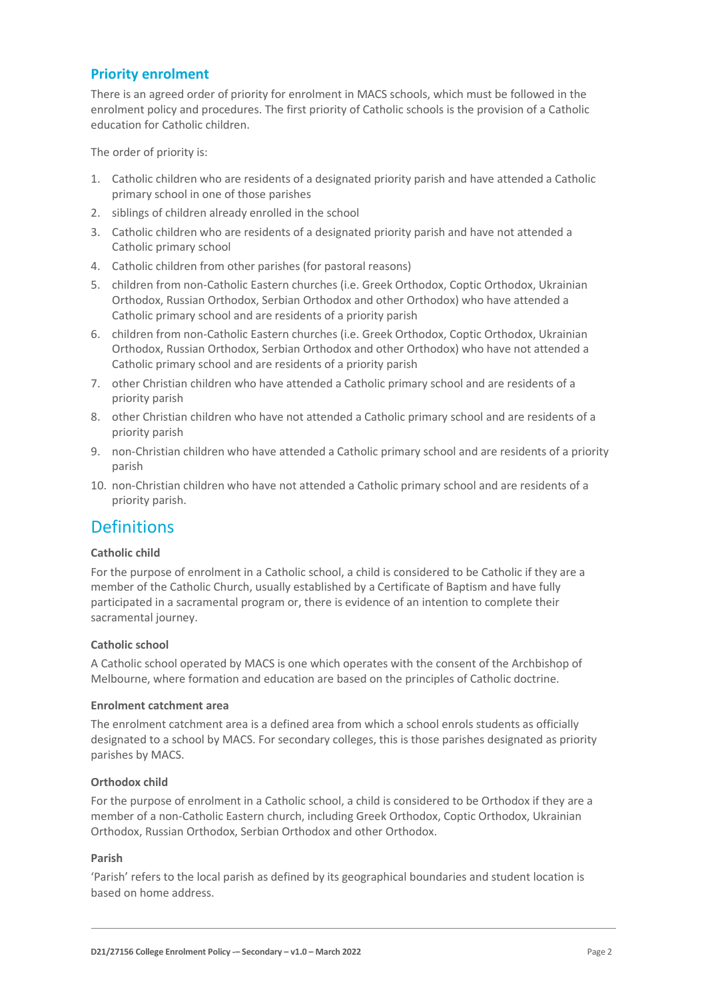### **Priority enrolment**

There is an agreed order of priority for enrolment in MACS schools, which must be followed in the enrolment policy and procedures. The first priority of Catholic schools is the provision of a Catholic education for Catholic children.

The order of priority is:

- 1. Catholic children who are residents of a designated priority parish and have attended a Catholic primary school in one of those parishes
- 2. siblings of children already enrolled in the school
- 3. Catholic children who are residents of a designated priority parish and have not attended a Catholic primary school
- 4. Catholic children from other parishes (for pastoral reasons)
- 5. children from non-Catholic Eastern churches (i.e. Greek Orthodox, Coptic Orthodox, Ukrainian Orthodox, Russian Orthodox, Serbian Orthodox and other Orthodox) who have attended a Catholic primary school and are residents of a priority parish
- 6. children from non-Catholic Eastern churches (i.e. Greek Orthodox, Coptic Orthodox, Ukrainian Orthodox, Russian Orthodox, Serbian Orthodox and other Orthodox) who have not attended a Catholic primary school and are residents of a priority parish
- 7. other Christian children who have attended a Catholic primary school and are residents of a priority parish
- 8. other Christian children who have not attended a Catholic primary school and are residents of a priority parish
- 9. non-Christian children who have attended a Catholic primary school and are residents of a priority parish
- 10. non-Christian children who have not attended a Catholic primary school and are residents of a priority parish.

## **Definitions**

#### **Catholic child**

For the purpose of enrolment in a Catholic school, a child is considered to be Catholic if they are a member of the Catholic Church, usually established by a Certificate of Baptism and have fully participated in a sacramental program or, there is evidence of an intention to complete their sacramental journey.

#### **Catholic school**

A Catholic school operated by MACS is one which operates with the consent of the Archbishop of Melbourne, where formation and education are based on the principles of Catholic doctrine.

#### **Enrolment catchment area**

The enrolment catchment area is a defined area from which a school enrols students as officially designated to a school by MACS. For secondary colleges, this is those parishes designated as priority parishes by MACS.

#### **Orthodox child**

For the purpose of enrolment in a Catholic school, a child is considered to be Orthodox if they are a member of a non-Catholic Eastern church, including Greek Orthodox, Coptic Orthodox, Ukrainian Orthodox, Russian Orthodox, Serbian Orthodox and other Orthodox.

#### **Parish**

'Parish' refers to the local parish as defined by its geographical boundaries and student location is based on home address.